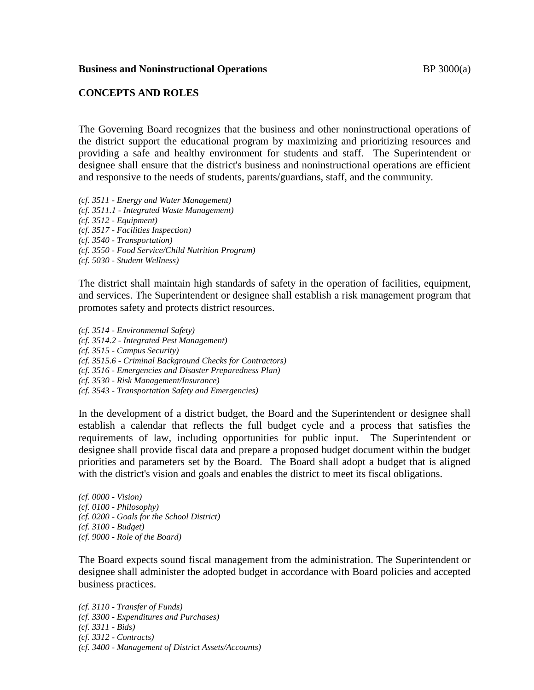## **Business and Noninstructional Operations BP 3000(a)**

## **CONCEPTS AND ROLES**

The Governing Board recognizes that the business and other noninstructional operations of the district support the educational program by maximizing and prioritizing resources and providing a safe and healthy environment for students and staff. The Superintendent or designee shall ensure that the district's business and noninstructional operations are efficient and responsive to the needs of students, parents/guardians, staff, and the community.

*(cf. 3511 - Energy and Water Management) (cf. 3511.1 - Integrated Waste Management) (cf. 3512 - Equipment) (cf. 3517 - Facilities Inspection) (cf. 3540 - Transportation) (cf. 3550 - Food Service/Child Nutrition Program) (cf. 5030 - Student Wellness)*

The district shall maintain high standards of safety in the operation of facilities, equipment, and services. The Superintendent or designee shall establish a risk management program that promotes safety and protects district resources.

*(cf. 3514 - Environmental Safety) (cf. 3514.2 - Integrated Pest Management) (cf. 3515 - Campus Security) (cf. 3515.6 - Criminal Background Checks for Contractors) (cf. 3516 - Emergencies and Disaster Preparedness Plan) (cf. 3530 - Risk Management/Insurance) (cf. 3543 - Transportation Safety and Emergencies)*

In the development of a district budget, the Board and the Superintendent or designee shall establish a calendar that reflects the full budget cycle and a process that satisfies the requirements of law, including opportunities for public input. The Superintendent or designee shall provide fiscal data and prepare a proposed budget document within the budget priorities and parameters set by the Board. The Board shall adopt a budget that is aligned with the district's vision and goals and enables the district to meet its fiscal obligations.

*(cf. 0000 - Vision) (cf. 0100 - Philosophy) (cf. 0200 - Goals for the School District) (cf. 3100 - Budget) (cf. 9000 - Role of the Board)*

The Board expects sound fiscal management from the administration. The Superintendent or designee shall administer the adopted budget in accordance with Board policies and accepted business practices.

*(cf. 3110 - Transfer of Funds) (cf. 3300 - Expenditures and Purchases) (cf. 3311 - Bids) (cf. 3312 - Contracts) (cf. 3400 - Management of District Assets/Accounts)*